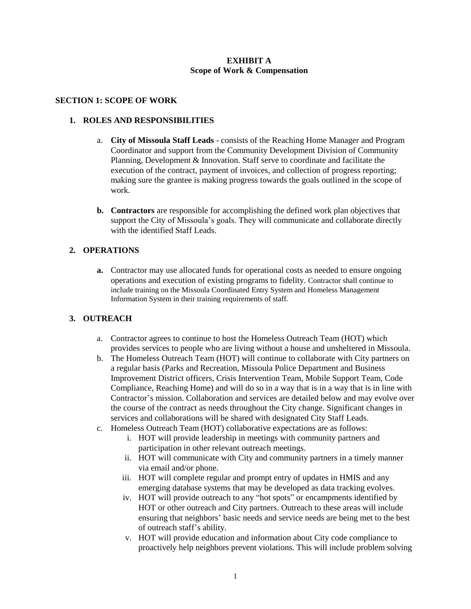### **EXHIBIT A Scope of Work & Compensation**

#### **SECTION 1: SCOPE OF WORK**

### **1. ROLES AND RESPONSIBILITIES**

- a. **City of Missoula Staff Leads** consists of the Reaching Home Manager and Program Coordinator and support from the Community Development Division of Community Planning, Development & Innovation. Staff serve to coordinate and facilitate the execution of the contract, payment of invoices, and collection of progress reporting; making sure the grantee is making progress towards the goals outlined in the scope of work.
- **b. Contractors** are responsible for accomplishing the defined work plan objectives that support the City of Missoula's goals. They will communicate and collaborate directly with the identified Staff Leads.

#### **2. OPERATIONS**

**a.** Contractor may use allocated funds for operational costs as needed to ensure ongoing operations and execution of existing programs to fidelity. Contractor shall continue to include training on the Missoula Coordinated Entry System and Homeless Management Information System in their training requirements of staff.

#### **3. OUTREACH**

- a. Contractor agrees to continue to host the Homeless Outreach Team (HOT) which provides services to people who are living without a house and unsheltered in Missoula.
- b. The Homeless Outreach Team (HOT) will continue to collaborate with City partners on a regular basis (Parks and Recreation, Missoula Police Department and Business Improvement District officers, Crisis Intervention Team, Mobile Support Team, Code Compliance, Reaching Home) and will do so in a way that is in a way that is in line with Contractor's mission. Collaboration and services are detailed below and may evolve over the course of the contract as needs throughout the City change. Significant changes in services and collaborations will be shared with designated City Staff Leads.
- c. Homeless Outreach Team (HOT) collaborative expectations are as follows:
	- i. HOT will provide leadership in meetings with community partners and participation in other relevant outreach meetings.
	- ii. HOT will communicate with City and community partners in a timely manner via email and/or phone.
	- iii. HOT will complete regular and prompt entry of updates in HMIS and any emerging database systems that may be developed as data tracking evolves.
	- iv. HOT will provide outreach to any "hot spots" or encampments identified by HOT or other outreach and City partners. Outreach to these areas will include ensuring that neighbors' basic needs and service needs are being met to the best of outreach staff's ability.
	- v. HOT will provide education and information about City code compliance to proactively help neighbors prevent violations. This will include problem solving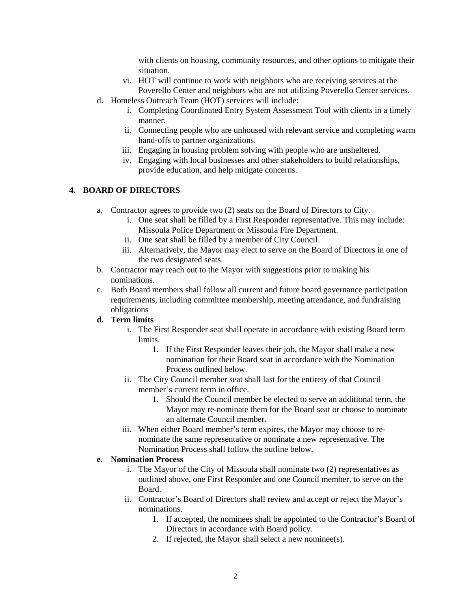with clients on housing, community resources, and other options to mitigate their situation.

- vi. HOT will continue to work with neighbors who are receiving services at the Poverello Center and neighbors who are not utilizing Poverello Center services.
- d. Homeless Outreach Team (HOT) services will include:
	- i. Completing Coordinated Entry System Assessment Tool with clients in a timely manner.
	- ii. Connecting people who are unhoused with relevant service and completing warm hand-offs to partner organizations.
	- iii. Engaging in housing problem solving with people who are unsheltered.
	- iv. Engaging with local businesses and other stakeholders to build relationships, provide education, and help mitigate concerns.

## **4. BOARD OF DIRECTORS**

- a. Contractor agrees to provide two (2) seats on the Board of Directors to City.
	- i. One seat shall be filled by a First Responder representative. This may include: Missoula Police Department or Missoula Fire Department.
	- ii. One seat shall be filled by a member of City Council.
	- iii. Alternatively, the Mayor may elect to serve on the Board of Directors in one of the two designated seats.
- b. Contractor may reach out to the Mayor with suggestions prior to making his nominations.
- c. Both Board members shall follow all current and future board governance participation requirements, including committee membership, meeting attendance, and fundraising obligations

### **d. Term limits**

- i. The First Responder seat shall operate in accordance with existing Board term limits.
	- 1. If the First Responder leaves their job, the Mayor shall make a new nomination for their Board seat in accordance with the Nomination Process outlined below.
- ii. The City Council member seat shall last for the entirety of that Council member's current term in office.
	- 1. Should the Council member be elected to serve an additional term, the Mayor may re-nominate them for the Board seat or choose to nominate an alternate Council member.
- iii. When either Board member's term expires, the Mayor may choose to renominate the same representative or nominate a new representative. The Nomination Process shall follow the outline below.

#### **e. Nomination Process**

- i. The Mayor of the City of Missoula shall nominate two (2) representatives as outlined above, one First Responder and one Council member, to serve on the Board.
- ii. Contractor's Board of Directors shall review and accept or reject the Mayor's nominations.
	- 1. If accepted, the nominees shall be appointed to the Contractor's Board of Directors in accordance with Board policy.
	- 2. If rejected, the Mayor shall select a new nominee(s).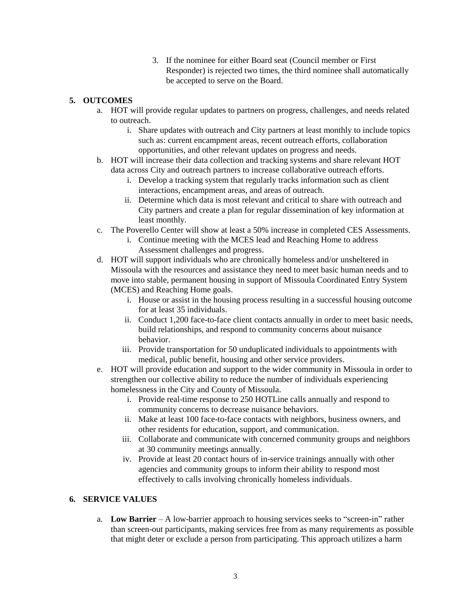3. If the nominee for either Board seat (Council member or First Responder) is rejected two times, the third nominee shall automatically be accepted to serve on the Board.

## **5. OUTCOMES**

- a. HOT will provide regular updates to partners on progress, challenges, and needs related to outreach.
	- i. Share updates with outreach and City partners at least monthly to include topics such as: current encampment areas, recent outreach efforts, collaboration opportunities, and other relevant updates on progress and needs.
- b. HOT will increase their data collection and tracking systems and share relevant HOT data across City and outreach partners to increase collaborative outreach efforts.
	- i. Develop a tracking system that regularly tracks information such as client interactions, encampment areas, and areas of outreach.
	- ii. Determine which data is most relevant and critical to share with outreach and City partners and create a plan for regular dissemination of key information at least monthly.
- c. The Poverello Center will show at least a 50% increase in completed CES Assessments.
	- i. Continue meeting with the MCES lead and Reaching Home to address Assessment challenges and progress.
- d. HOT will support individuals who are chronically homeless and/or unsheltered in Missoula with the resources and assistance they need to meet basic human needs and to move into stable, permanent housing in support of Missoula Coordinated Entry System (MCES) and Reaching Home goals.
	- i. House or assist in the housing process resulting in a successful housing outcome for at least 35 individuals.
	- ii. Conduct 1,200 face-to-face client contacts annually in order to meet basic needs, build relationships, and respond to community concerns about nuisance behavior.
	- iii. Provide transportation for 50 unduplicated individuals to appointments with medical, public benefit, housing and other service providers.
- e. HOT will provide education and support to the wider community in Missoula in order to strengthen our collective ability to reduce the number of individuals experiencing homelessness in the City and County of Missoula.
	- i. Provide real-time response to 250 HOTLine calls annually and respond to community concerns to decrease nuisance behaviors.
	- ii. Make at least 100 face-to-face contacts with neighbors, business owners, and other residents for education, support, and communication.
	- iii. Collaborate and communicate with concerned community groups and neighbors at 30 community meetings annually.
	- iv. Provide at least 20 contact hours of in-service trainings annually with other agencies and community groups to inform their ability to respond most effectively to calls involving chronically homeless individuals.

## **6. SERVICE VALUES**

a. **Low Barrier** – A low-barrier approach to housing services seeks to "screen-in" rather than screen-out participants, making services free from as many requirements as possible that might deter or exclude a person from participating. This approach utilizes a harm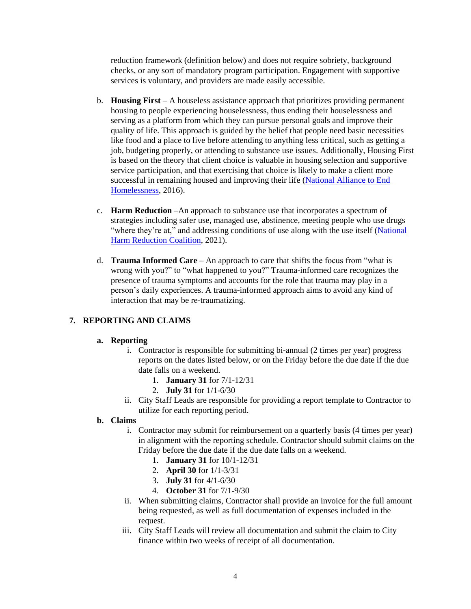reduction framework (definition below) and does not require sobriety, background checks, or any sort of mandatory program participation. Engagement with supportive services is voluntary, and providers are made easily accessible.

- b. **Housing First** A houseless assistance approach that prioritizes providing permanent housing to people experiencing houselessness, thus ending their houselessness and serving as a platform from which they can pursue personal goals and improve their quality of life. This approach is guided by the belief that people need basic necessities like food and a place to live before attending to anything less critical, such as getting a job, budgeting properly, or attending to substance use issues. Additionally, Housing First is based on the theory that client choice is valuable in housing selection and supportive service participation, and that exercising that choice is likely to make a client more successful in remaining housed and improving their life [\(National Alliance to End](https://endhomelessness.org/resource/housing-first/)  [Homelessness,](https://endhomelessness.org/resource/housing-first/) 2016).
- c. **Harm Reduction** –An approach to substance use that incorporates a spectrum of strategies including safer use, managed use, abstinence, meeting people who use drugs "where they're at," and addressing conditions of use along with the use itself (National [Harm Reduction Coalition,](https://harmreduction.org/) 2021).
- d. **Trauma Informed Care** An approach to care that shifts the focus from "what is wrong with you?" to "what happened to you?" Trauma-informed care recognizes the presence of trauma symptoms and accounts for the role that trauma may play in a person's daily experiences. A trauma-informed approach aims to avoid any kind of interaction that may be re-traumatizing.

## **7. REPORTING AND CLAIMS**

#### **a. Reporting**

- i. Contractor is responsible for submitting bi-annual (2 times per year) progress reports on the dates listed below, or on the Friday before the due date if the due date falls on a weekend.
	- 1. **January 31** for 7/1-12/31
	- 2. **July 31** for 1/1-6/30
- ii. City Staff Leads are responsible for providing a report template to Contractor to utilize for each reporting period.

#### **b. Claims**

- i. Contractor may submit for reimbursement on a quarterly basis (4 times per year) in alignment with the reporting schedule. Contractor should submit claims on the Friday before the due date if the due date falls on a weekend.
	- 1. **January 31** for 10/1-12/31
	- 2. **April 30** for 1/1-3/31
	- 3. **July 31** for 4/1-6/30
	- 4. **October 31** for 7/1-9/30
- ii. When submitting claims, Contractor shall provide an invoice for the full amount being requested, as well as full documentation of expenses included in the request.
- iii. City Staff Leads will review all documentation and submit the claim to City finance within two weeks of receipt of all documentation.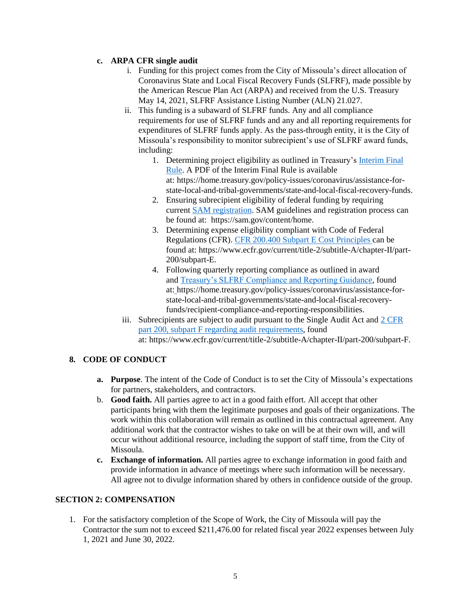## **c. ARPA CFR single audit**

- i. Funding for this project comes from the City of Missoula's direct allocation of Coronavirus State and Local Fiscal Recovery Funds (SLFRF), made possible by the American Rescue Plan Act (ARPA) and received from the U.S. Treasury May 14, 2021, SLFRF Assistance Listing Number (ALN) 21.027.
- ii. This funding is a subaward of SLFRF funds. Any and all compliance requirements for use of SLFRF funds and any and all reporting requirements for expenditures of SLFRF funds apply. As the pass-through entity, it is the City of Missoula's responsibility to monitor subrecipient's use of SLFRF award funds, including:
	- 1. Determining project eligibility as outlined in Treasury's [Interim](https://www.govinfo.gov/content/pkg/FR-2021-05-17/pdf/2021-10283.pdf) Final [Rule.](https://www.govinfo.gov/content/pkg/FR-2021-05-17/pdf/2021-10283.pdf) A PDF of the Interim Final Rule is available at: https://home.treasury.gov/policy-issues/coronavirus/assistance-forstate-local-and-tribal-governments/state-and-local-fiscal-recovery-funds.
	- 2. Ensuring subrecipient eligibility of federal funding by requiring current [SAM registration.](https://sam.gov/content/home) SAM guidelines and registration process can be found at: https://sam.gov/content/home.
	- 3. Determining expense eligibility compliant with Code of Federal Regulations (CFR). [CFR 200.400 Subpart E Cost Principles](https://www.ecfr.gov/current/title-2/subtitle-A/chapter-II/part-200/subpart-E) can be found at: https://www.ecfr.gov/current/title-2/subtitle-A/chapter-II/part-200/subpart-E.
	- 4. Following quarterly reporting compliance as outlined in award and [Treasury's SLFRF Compliance and Reporting Guidance,](https://home.treasury.gov/system/files/136/SLFRF-Compliance-and-Reporting-Guidance.pdf) found at: https://home.treasury.gov/policy-issues/coronavirus/assistance-forstate-local-and-tribal-governments/state-and-local-fiscal-recoveryfunds/recipient-compliance-and-reporting-responsibilities.
- iii. Subrecipients are subject to audit pursuant to the Single Audit Act and [2 CFR](https://www.ecfr.gov/current/title-2/subtitle-A/chapter-II/part-200/subpart-F)  [part 200, subpart F regarding audit requirements,](https://www.ecfr.gov/current/title-2/subtitle-A/chapter-II/part-200/subpart-F) found at: https://www.ecfr.gov/current/title-2/subtitle-A/chapter-II/part-200/subpart-F.

# **8. CODE OF CONDUCT**

- **a. Purpose**. The intent of the Code of Conduct is to set the City of Missoula's expectations for partners, stakeholders, and contractors.
- b. **Good faith.** All parties agree to act in a good faith effort. All accept that other participants bring with them the legitimate purposes and goals of their organizations. The work within this collaboration will remain as outlined in this contractual agreement. Any additional work that the contractor wishes to take on will be at their own will, and will occur without additional resource, including the support of staff time, from the City of Missoula.
- **c. Exchange of information.** All parties agree to exchange information in good faith and provide information in advance of meetings where such information will be necessary. All agree not to divulge information shared by others in confidence outside of the group.

# **SECTION 2: COMPENSATION**

1. For the satisfactory completion of the Scope of Work, the City of Missoula will pay the Contractor the sum not to exceed \$211,476.00 for related fiscal year 2022 expenses between July 1, 2021 and June 30, 2022.